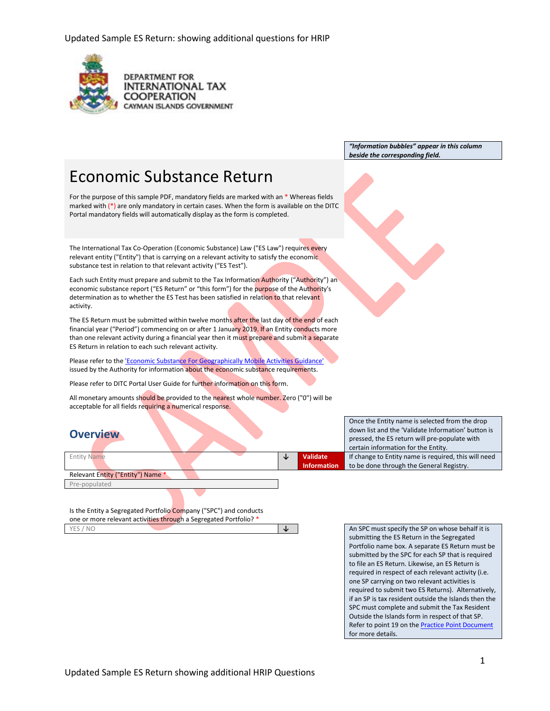

**DEPARTMENT FOR INTERNATIONAL TAX COOPERATION** CAYMAN ISLANDS GOVERNMENT

> *"Information bubbles" appear in this column beside the corresponding field.*

# Economic Substance Return

For the purpose of this sample PDF, mandatory fields are marked with an \* Whereas fields marked with  $(*)$  are only mandatory in certain cases. When the form is available on the DITC Portal mandatory fields will automatically display as the form is completed.

The International Tax Co-Operation (Economic Substance) Law ("ES Law") requires every relevant entity ("Entity") that is carrying on a relevant activity to satisfy the economic substance test in relation to that relevant activity ("ES Test").

Each such Entity must prepare and submit to the Tax Information Authority ("Authority") an economic substance report ("ES Return" or "this form") for the purpose of the Authority's determination as to whether the ES Test has been satisfied in relation to that relevant activity.

The ES Return must be submitted within twelve months after the last day of the end of each financial year ("Period") commencing on or after 1 January 2019. If an Entity conducts more than one relevant activity during a financial year then it must prepare and submit a separate ES Return in relation to each such relevant activity.

Please refer to th[e 'Economic Substance For Geographically Mobile Activities Guidance'](https://www.ditc.ky/wp-content/uploads/Economic_Substance_-_Guidance_-_v3.0190713.pdf) issued by the Authority for information about the economic substance requirements.

Please refer to DITC Portal User Guide for further information on this form.

All monetary amounts should be provided to the nearest whole number. Zero ("0") will be acceptable for all fields requiring a numerical response.

### **Overview**

|                                   |  |    |                    | certain information for the Entity.          |
|-----------------------------------|--|----|--------------------|----------------------------------------------|
| <b>Entity Name</b>                |  | N. | Validate           | If change to Entity name is required, this w |
|                                   |  |    | <b>Information</b> | to be done through the General Registry.     |
| Relevant Entity ("Entity") Name * |  |    |                    |                                              |
| Pre-populated                     |  |    |                    |                                              |

Is the Entity a Segregated Portfolio Company ("SPC") and conducts one or more relevant activities through a Segregated Portfolio? \*

down list and the 'Validate Information' button is pressed, the ES return will pre-populate with ill need

Once the Entity name is selected from the drop

YES / NO **↓** An SPC must specify the SP on whose behalf it is submitting the ES Return in the Segregated Portfolio name box. A separate ES Return must be submitted by the SPC for each SP that is required to file an ES Return. Likewise, an ES Return is required in respect of each relevant activity (i.e. one SP carrying on two relevant activities is required to submit two ES Returns). Alternatively, if an SP is tax resident outside the Islands then the SPC must complete and submit the Tax Resident Outside the Islands form in respect of that SP. Refer to point 19 on the **Practice Point Document** for more details.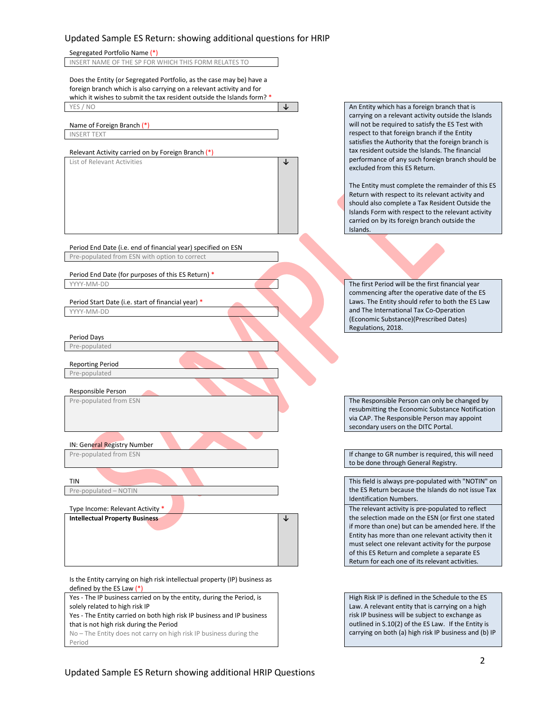

Period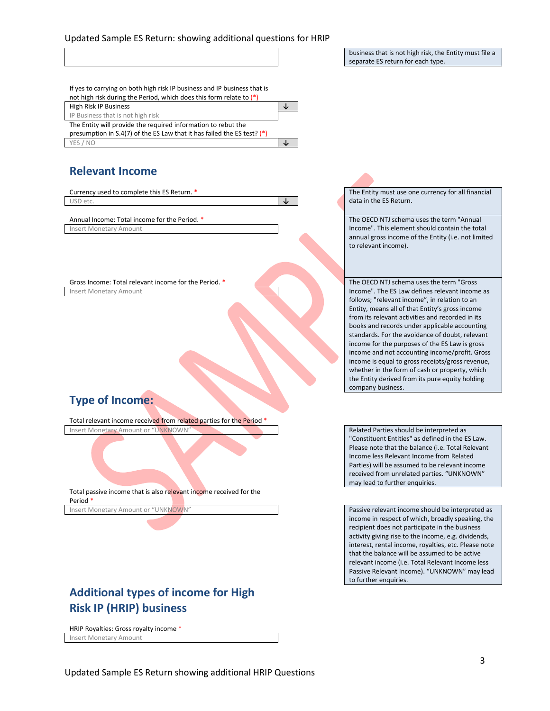business that is not high risk, the Entity must file a separate ES return for each type.

If yes to carrying on both high risk IP business and IP business that is not high risk during the Period, which does this form relate to (\*) High Risk IP Business **↓** IP Business that is not high risk

The Entity will provide the required information to rebut the presumption in S.4(7) of the ES Law that it has failed the ES test? (\*) YES / NO **↓**

### **Relevant Income**

Currency used to complete this ES Return. \* The Entity must use one currency for all financial USD etc. **↓** data in the ES Return.

Insert Monetary Amount

Gross Income: Total relevant income for the Period. \* The OECD NTJ schema uses the term "Gross" Insert Monetary Amount

# **Type of Income:**

Total relevant income received from related parties for the Period \* Insert Monetary Amount or "UNKNOWN" Related Parties should be interpreted as

Total passive income that is also relevant income received for the Period \*

# **Additional types of income for High Risk IP (HRIP) business**

HRIP Royalties: Gross royalty income \* Insert Monetary Amount

Annual Income: Total income for the Period. \* The OECD NTJ schema uses the term "Annual" Income". This element should contain the total annual gross income of the Entity (i.e. not limited to relevant income).

> Income". The ES Law defines relevant income as follows; "relevant income", in relation to an Entity, means all of that Entity's gross income from its relevant activities and recorded in its books and records under applicable accounting standards. For the avoidance of doubt, relevant income for the purposes of the ES Law is gross income and not accounting income/profit. Gross income is equal to gross receipts/gross revenue, whether in the form of cash or property, which the Entity derived from its pure equity holding company business.

"Constituent Entities" as defined in the ES Law. Please note that the balance (i.e. Total Relevant Income less Relevant Income from Related Parties) will be assumed to be relevant income received from unrelated parties. "UNKNOWN" may lead to further enquiries.

Insert Monetary Amount or "UNKNOWN" Passive relevant income should be interpreted as income in respect of which, broadly speaking, the recipient does not participate in the business activity giving rise to the income, e.g. dividends, interest, rental income, royalties, etc. Please note that the balance will be assumed to be active relevant income (i.e. Total Relevant Income less Passive Relevant Income). "UNKNOWN" may lead to further enquiries.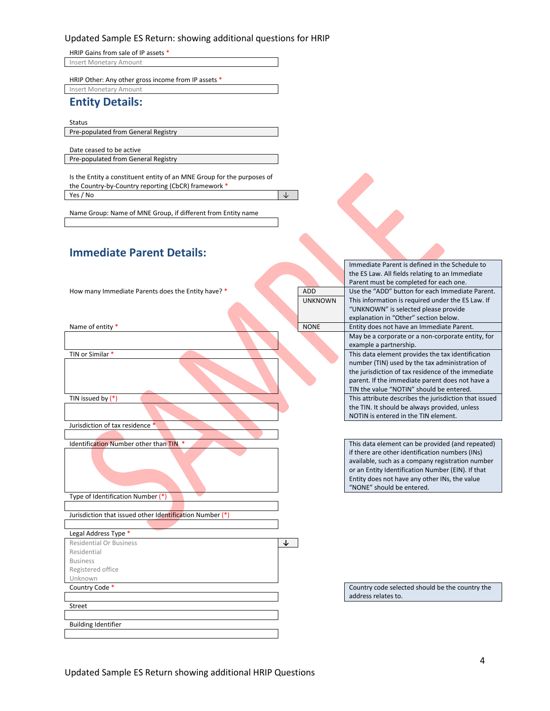HRIP Gains from sale of IP assets \* Insert Monetary Amount

HRIP Other: Any other gross income from IP assets \*

Insert Monetary Amount

#### **Entity Details:**

Status

Pre-populated from General Registry

Date ceased to be active Pre-populated from General Registry

Is the Entity a constituent entity of an MNE Group for the purposes of the Country-by-Country reporting (CbCR) framework \*  $Yes / No$ 

Immediate Parent is defined in the Schedule to

Name Group: Name of MNE Group, if different from Entity name

### **Immediate Parent Details:**

|                                                         |                | the ES Law. All fields relating to an Immediate       |
|---------------------------------------------------------|----------------|-------------------------------------------------------|
|                                                         |                | Parent must be completed for each one.                |
| How many Immediate Parents does the Entity have? *      | <b>ADD</b>     | Use the "ADD" button for each Immediate Parent.       |
|                                                         | <b>UNKNOWN</b> | This information is required under the ES Law. If     |
|                                                         |                | "UNKNOWN" is selected please provide                  |
|                                                         |                | explanation in "Other" section below.                 |
| Name of entity *                                        | <b>NONE</b>    | Entity does not have an Immediate Parent.             |
|                                                         |                | May be a corporate or a non-corporate entity, for     |
|                                                         |                | example a partnership.                                |
| TIN or Similar *                                        |                | This data element provides the tax identification     |
|                                                         |                | number (TIN) used by the tax administration of        |
|                                                         |                | the jurisdiction of tax residence of the immediate    |
|                                                         |                | parent. If the immediate parent does not have a       |
|                                                         |                | TIN the value "NOTIN" should be entered.              |
| TIN issued by $(*)$                                     |                | This attribute describes the jurisdiction that issued |
|                                                         |                | the TIN. It should be always provided, unless         |
|                                                         |                | NOTIN is entered in the TIN element.                  |
| Jurisdiction of tax residence *                         |                |                                                       |
|                                                         |                |                                                       |
| Identification Number other than TIN *                  |                | This data element can be provided (and repeated)      |
|                                                         |                | if there are other identification numbers (INs)       |
|                                                         |                | available, such as a company registration number      |
|                                                         |                | or an Entity Identification Number (EIN). If that     |
|                                                         |                | Entity does not have any other INs, the value         |
|                                                         |                | "NONE" should be entered.                             |
| Type of Identification Number (*)                       |                |                                                       |
|                                                         |                |                                                       |
| Jurisdiction that issued other Identification Number (* |                |                                                       |
|                                                         |                |                                                       |
| Legal Address Type *                                    |                |                                                       |
| <b>Residential Or Business</b>                          | $\downarrow$   |                                                       |
| Residential                                             |                |                                                       |
| <b>Business</b>                                         |                |                                                       |
| Registered office                                       |                |                                                       |
| Unknown                                                 |                |                                                       |
| Country Code *                                          |                | Country code selected should be the country the       |
|                                                         |                | address relates to.                                   |
| Street                                                  |                |                                                       |
|                                                         |                |                                                       |
| <b>Building Identifier</b>                              |                |                                                       |
|                                                         |                |                                                       |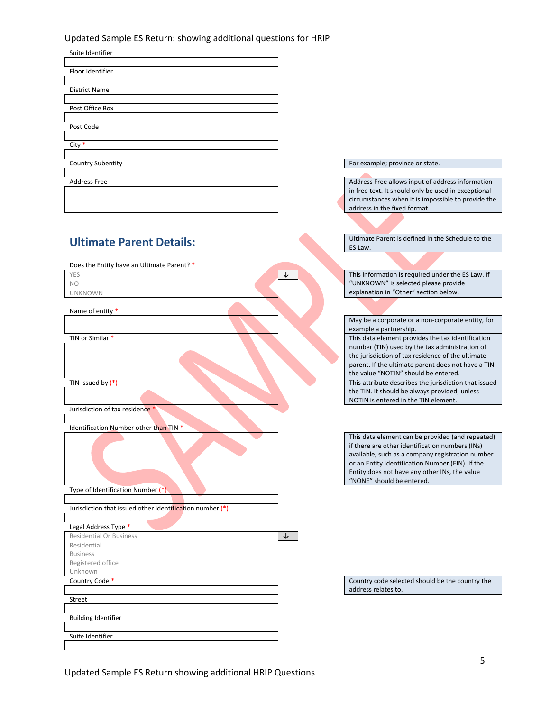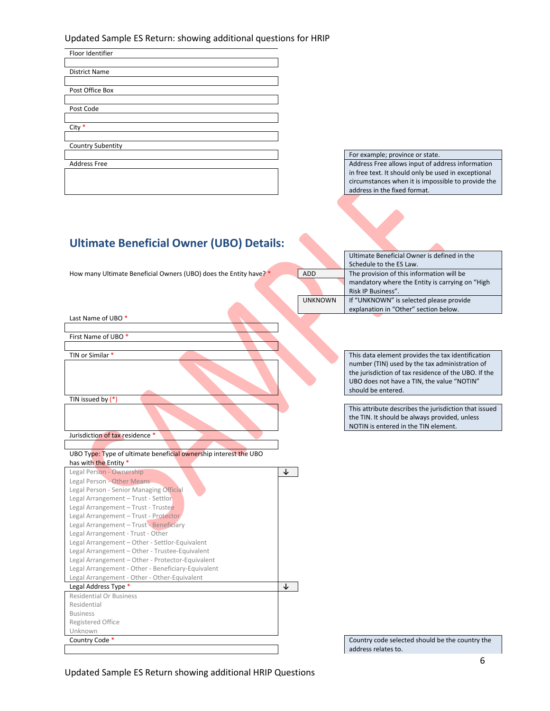| Floor Identifier         |  |
|--------------------------|--|
|                          |  |
| <b>District Name</b>     |  |
|                          |  |
| Post Office Box          |  |
|                          |  |
| Post Code                |  |
|                          |  |
| $City *$                 |  |
|                          |  |
| <b>Country Subentity</b> |  |
|                          |  |
| <b>Address Free</b>      |  |
|                          |  |
|                          |  |
|                          |  |

For example; province or state. Address Free allows input of address information in free text. It should only be used in exceptional circumstances when it is impossible to provide the address in the fixed format.

Ultimate Beneficial Owner is defined in the

# **Ultimate Beneficial Owner (UBO) Details:**

|                                                                   |                | Schedule to the ES Law.                               |
|-------------------------------------------------------------------|----------------|-------------------------------------------------------|
| How many Ultimate Beneficial Owners (UBO) does the Entity have? * | <b>ADD</b>     | The provision of this information will be             |
|                                                                   |                | mandatory where the Entity is carrying on "High       |
|                                                                   |                | Risk IP Business".                                    |
|                                                                   | <b>UNKNOWN</b> | If "UNKNOWN" is selected please provide               |
|                                                                   |                | explanation in "Other" section below.                 |
| Last Name of UBO *                                                |                |                                                       |
|                                                                   |                |                                                       |
| First Name of UBO <sup>*</sup>                                    |                |                                                       |
|                                                                   |                |                                                       |
| TIN or Similar *                                                  |                | This data element provides the tax identification     |
|                                                                   |                | number (TIN) used by the tax administration of        |
|                                                                   |                | the jurisdiction of tax residence of the UBO. If the  |
|                                                                   |                | UBO does not have a TIN, the value "NOTIN"            |
|                                                                   |                | should be entered.                                    |
| TIN issued by $(*)$                                               |                |                                                       |
|                                                                   |                | This attribute describes the jurisdiction that issued |
|                                                                   |                | the TIN. It should be always provided, unless         |
|                                                                   |                | NOTIN is entered in the TIN element.                  |
| Jurisdiction of tax residence *                                   |                |                                                       |
|                                                                   |                |                                                       |
| UBO Type: Type of ultimate beneficial ownership interest the UBO  |                |                                                       |
| has with the Entity *<br>Legal Person - Ownership                 |                |                                                       |
| Legal Person - Other Means                                        | ↓              |                                                       |
| Legal Person - Senior Managing Official                           |                |                                                       |
| Legal Arrangement - Trust - Settlor                               |                |                                                       |
| Legal Arrangement - Trust - Trustee                               |                |                                                       |
| Legal Arrangement - Trust - Protector                             |                |                                                       |
| Legal Arrangement - Trust - Beneficiary                           |                |                                                       |
| Legal Arrangement - Trust - Other                                 |                |                                                       |
| Legal Arrangement - Other - Settlor-Equivalent                    |                |                                                       |
| Legal Arrangement - Other - Trustee-Equivalent                    |                |                                                       |
| Legal Arrangement - Other - Protector-Equivalent                  |                |                                                       |
| Legal Arrangement - Other - Beneficiary-Equivalent                |                |                                                       |
| Legal Arrangement - Other - Other-Equivalent                      |                |                                                       |
| Legal Address Type *                                              | ↓              |                                                       |
| <b>Residential Or Business</b>                                    |                |                                                       |
| Residential                                                       |                |                                                       |
| <b>Business</b>                                                   |                |                                                       |
| Registered Office                                                 |                |                                                       |
| Unknown                                                           |                |                                                       |
| Country Code *                                                    |                | Country code selected should be the country the       |
|                                                                   |                | address relates to.                                   |

Updated Sample ES Return showing additional HRIP Questions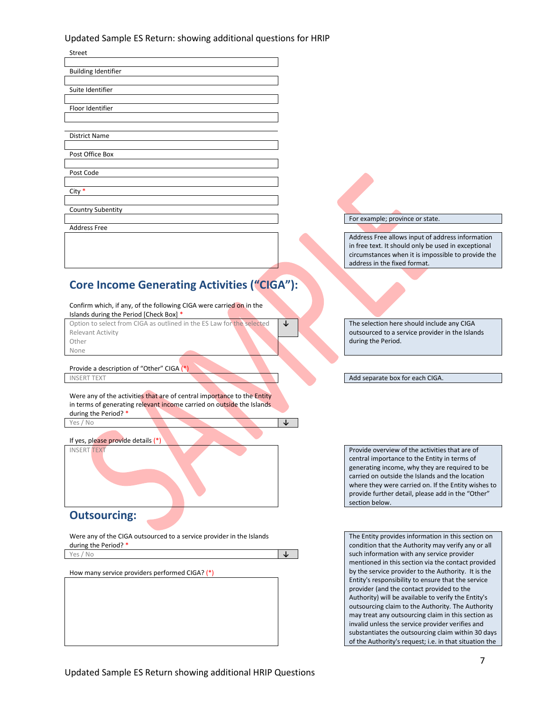| Street                                                                                                                                                                     |                                                                                                                                                                                                                                                                                                                                                                                                                                                                                                                                                                                                                                                    |
|----------------------------------------------------------------------------------------------------------------------------------------------------------------------------|----------------------------------------------------------------------------------------------------------------------------------------------------------------------------------------------------------------------------------------------------------------------------------------------------------------------------------------------------------------------------------------------------------------------------------------------------------------------------------------------------------------------------------------------------------------------------------------------------------------------------------------------------|
| <b>Building Identifier</b>                                                                                                                                                 |                                                                                                                                                                                                                                                                                                                                                                                                                                                                                                                                                                                                                                                    |
| Suite Identifier                                                                                                                                                           |                                                                                                                                                                                                                                                                                                                                                                                                                                                                                                                                                                                                                                                    |
| Floor Identifier                                                                                                                                                           |                                                                                                                                                                                                                                                                                                                                                                                                                                                                                                                                                                                                                                                    |
|                                                                                                                                                                            |                                                                                                                                                                                                                                                                                                                                                                                                                                                                                                                                                                                                                                                    |
| <b>District Name</b>                                                                                                                                                       |                                                                                                                                                                                                                                                                                                                                                                                                                                                                                                                                                                                                                                                    |
| Post Office Box                                                                                                                                                            |                                                                                                                                                                                                                                                                                                                                                                                                                                                                                                                                                                                                                                                    |
| Post Code                                                                                                                                                                  |                                                                                                                                                                                                                                                                                                                                                                                                                                                                                                                                                                                                                                                    |
| City $*$                                                                                                                                                                   |                                                                                                                                                                                                                                                                                                                                                                                                                                                                                                                                                                                                                                                    |
| <b>Country Subentity</b>                                                                                                                                                   |                                                                                                                                                                                                                                                                                                                                                                                                                                                                                                                                                                                                                                                    |
| <b>Address Free</b>                                                                                                                                                        | For example; province or state.                                                                                                                                                                                                                                                                                                                                                                                                                                                                                                                                                                                                                    |
|                                                                                                                                                                            | Address Free allows input of address information<br>in free text. It should only be used in exceptional<br>circumstances when it is impossible to provide the<br>address in the fixed format.                                                                                                                                                                                                                                                                                                                                                                                                                                                      |
| <b>Core Income Generating Activities ("CIGA"):</b>                                                                                                                         |                                                                                                                                                                                                                                                                                                                                                                                                                                                                                                                                                                                                                                                    |
| Confirm which, if any, of the following CIGA were carried on in the<br>Islands during the Period [Check Box] *                                                             |                                                                                                                                                                                                                                                                                                                                                                                                                                                                                                                                                                                                                                                    |
| Option to select from CIGA as outlined in the ES Law for the selected<br>↓<br>Relevant Activity<br>Other<br>None                                                           | The selection here should include any CIGA<br>outsourced to a service provider in the Islands<br>during the Period.                                                                                                                                                                                                                                                                                                                                                                                                                                                                                                                                |
| Provide a description of "Other" CIGA (*)                                                                                                                                  |                                                                                                                                                                                                                                                                                                                                                                                                                                                                                                                                                                                                                                                    |
| <b>INSERT TEXT</b>                                                                                                                                                         | Add separate box for each CIGA.                                                                                                                                                                                                                                                                                                                                                                                                                                                                                                                                                                                                                    |
| Were any of the activities that are of central importance to the Entity<br>in terms of generating relevant income carried on outside the Islands<br>during the Period? *   |                                                                                                                                                                                                                                                                                                                                                                                                                                                                                                                                                                                                                                                    |
| ↓<br>Yes / No                                                                                                                                                              |                                                                                                                                                                                                                                                                                                                                                                                                                                                                                                                                                                                                                                                    |
| If yes, please provide details $(*)$<br><b>INSERT TEXT</b>                                                                                                                 | Provide overview of the activities that are of<br>central importance to the Entity in terms of<br>generating income, why they are required to be<br>carried on outside the Islands and the location<br>where they were carried on. If the Entity wishes to<br>provide further detail, please add in the "Other"<br>section below.                                                                                                                                                                                                                                                                                                                  |
| <b>Outsourcing:</b>                                                                                                                                                        |                                                                                                                                                                                                                                                                                                                                                                                                                                                                                                                                                                                                                                                    |
| Were any of the CIGA outsourced to a service provider in the Islands<br>during the Period? *<br>$\downarrow$<br>Yes / No<br>How many service providers performed CIGA? (*) | The Entity provides information in this section on<br>condition that the Authority may verify any or all<br>such information with any service provider<br>mentioned in this section via the contact provided<br>by the service provider to the Authority. It is the<br>Entity's responsibility to ensure that the service<br>provider (and the contact provided to the<br>Authority) will be available to verify the Entity's<br>outsourcing claim to the Authority. The Authority<br>may treat any outsourcing claim in this section as<br>invalid unless the service provider verifies and<br>substantiates the outsourcing claim within 30 days |

of the Authority's request; i.e. in that situation the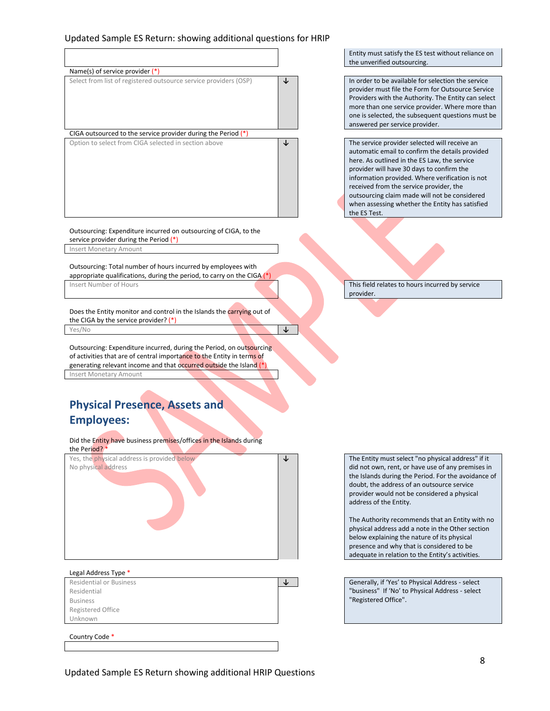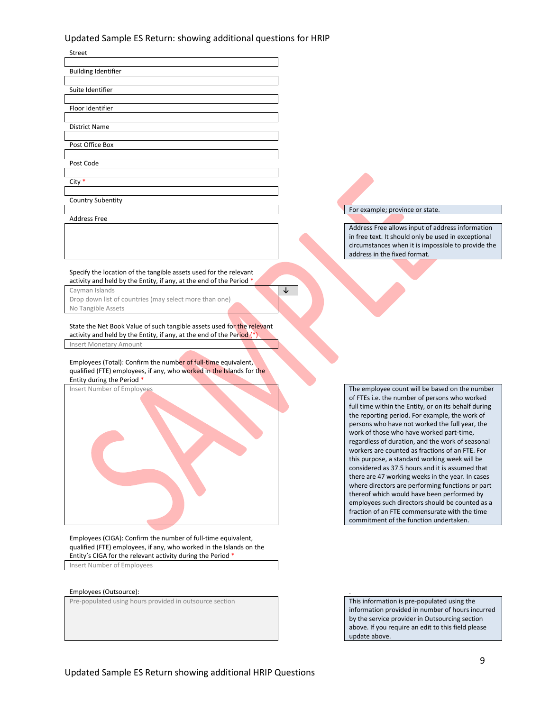| Street                                                                                                                                                               |                                                                                                                                                                                                                                                                                                                                                             |
|----------------------------------------------------------------------------------------------------------------------------------------------------------------------|-------------------------------------------------------------------------------------------------------------------------------------------------------------------------------------------------------------------------------------------------------------------------------------------------------------------------------------------------------------|
| <b>Building Identifier</b>                                                                                                                                           |                                                                                                                                                                                                                                                                                                                                                             |
| Suite Identifier                                                                                                                                                     |                                                                                                                                                                                                                                                                                                                                                             |
| Floor Identifier                                                                                                                                                     |                                                                                                                                                                                                                                                                                                                                                             |
| <b>District Name</b>                                                                                                                                                 |                                                                                                                                                                                                                                                                                                                                                             |
| Post Office Box                                                                                                                                                      |                                                                                                                                                                                                                                                                                                                                                             |
| Post Code                                                                                                                                                            |                                                                                                                                                                                                                                                                                                                                                             |
| City $*$                                                                                                                                                             |                                                                                                                                                                                                                                                                                                                                                             |
| <b>Country Subentity</b>                                                                                                                                             |                                                                                                                                                                                                                                                                                                                                                             |
| <b>Address Free</b>                                                                                                                                                  | For example; province or state.                                                                                                                                                                                                                                                                                                                             |
|                                                                                                                                                                      | Address Free allows input of address information<br>in free text. It should only be used in exceptional<br>circumstances when it is impossible to provide the<br>address in the fixed format.                                                                                                                                                               |
| Specify the location of the tangible assets used for the relevant<br>activity and held by the Entity, if any, at the end of the Period *                             |                                                                                                                                                                                                                                                                                                                                                             |
| Cayman Islands<br>Drop down list of countries (may select more than one)<br>No Tangible Assets                                                                       |                                                                                                                                                                                                                                                                                                                                                             |
| State the Net Book Value of such tangible assets used for the relevant<br>activity and held by the Entity, if any, at the end of the Period (*)                      |                                                                                                                                                                                                                                                                                                                                                             |
| <b>Insert Monetary Amount</b>                                                                                                                                        |                                                                                                                                                                                                                                                                                                                                                             |
| Employees (Total): Confirm the number of full-time equivalent,<br>qualified (FTE) employees, if any, who worked in the Islands for the<br>Entity during the Period * |                                                                                                                                                                                                                                                                                                                                                             |
| Insert Number of Employees                                                                                                                                           | The employee count will be based on the number<br>of FTEs i.e. the number of persons who worked<br>full time within the Entity, or on its behalf during<br>the reporting period. For example, the work of<br>persons who have not worked the full year, the<br>work of those who have worked part-time,<br>regardless of duration, and the work of seasonal |
|                                                                                                                                                                      | workers are counted as fractions of an FTE. For<br>this purpose, a standard working week will be<br>considered as 37.5 hours and it is assumed that                                                                                                                                                                                                         |

there are 47 working weeks in the year. In cases where directors are performing functions or part thereof which would have been performed by employees such directors should be counted as a fraction of an FTE commensurate with the time commitment of the function undertaken.

Employees (CIGA): Confirm the number of full-time equivalent, qualified (FTE) employees, if any, who worked in the Islands on the Entity's CIGA for the relevant activity during the Period \*

Insert Number of Employees

Employees (Outsource):<br>
Pre-populated using hours provided in outsource section<br>
Pre-populated using the section and a section of this information is pre-populated using the Pre-populated using hours provided in outsource section

information provided in number of hours incurred by the service provider in Outsourcing section above. If you require an edit to this field please update above.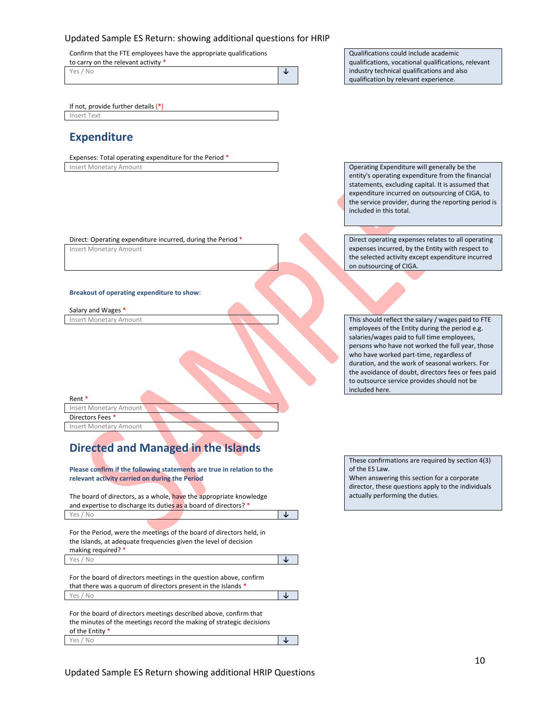Confirm that the FTE employees have the appropriate qualifications

to carry on the relevant activity

| Yes / No | s. |  |
|----------|----|--|
|          |    |  |

Qualifications could include academic qualifications, vocational qualifications, relevant industry technical qualifications and also qualification by relevant experience.

If not, provide further details (\*) Insert Text

### **Expenditure**

Expenses: Total operating expenditure for the Period \* Insert Monetary Amount **Insert Monetary Amount** Operating Expenditure will generally be the

Direct: Operating expenditure incurred, during the Period \* Direct operating expenses relates to all operating

Insert Monetary Amount

#### **Breakout of operating expenditure to show**:

Salary and Wages \*

Rent \*

Insert Monetary Amount Directors Fees \*

Insert Monetary Amount

# **Directed and Managed in the Islands**

**Please confirm if the following statements are true in relation to the relevant activity carried on during the Period**

| The board of directors, as a whole, have the appropriate knowledge |  |
|--------------------------------------------------------------------|--|
| and expertise to discharge its duties as a board of directors? *   |  |
| Yes / No                                                           |  |

For the Period, were the meetings of the board of directors held, in the Islands, at adequate frequencies given the level of decision making required? \* Yes / No **↓**

For the board of directors meetings in the question above, confirm that there was a quorum of directors present in the Islands \* Yes / No **↓**

For the board of directors meetings described above, confirm that the minutes of the meetings record the making of strategic decisions of the Entity \* Yes / No **↓**

entity's operating expenditure from the financial statements, excluding capital. It is assumed that expenditure incurred on outsourcing of CIGA, to the service provider, during the reporting period is included in this total.

expenses incurred, by the Entity with respect to the selected activity except expenditure incurred on outsourcing of CIGA.

Insert Monetary Amount **This should reflect the salary / wages paid to FTE** employees of the Entity during the period e.g. salaries/wages paid to full time employees, persons who have not worked the full year, those who have worked part-time, regardless of duration, and the work of seasonal workers. For the avoidance of doubt, directors fees or fees paid to outsource service provides should not be included here.

> These confirmations are required by section 4(3) of the ES Law. When answering this section for a corporate director, these questions apply to the individuals actually performing the duties.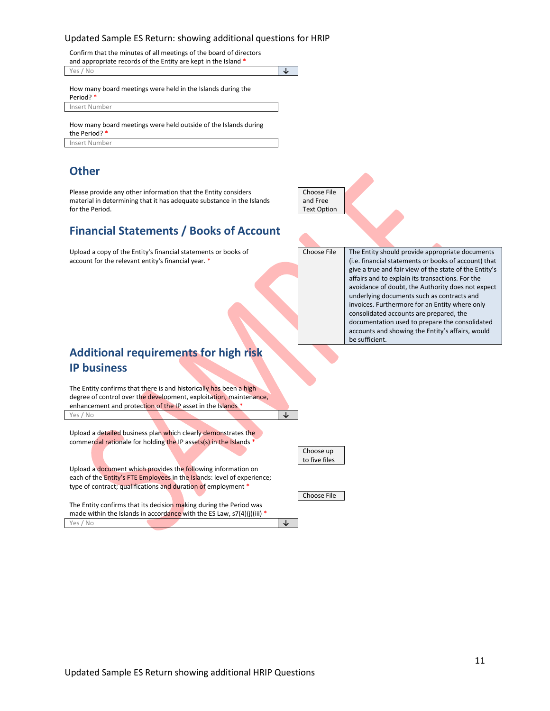Confirm that the minutes of all meetings of the board of directors priate records of the Entity are kept in the Island

| and appropriate records or the Entity are kept in the island |     |
|--------------------------------------------------------------|-----|
| Yes / No                                                     | ۰IJ |
|                                                              |     |
| How many board meetings were held in the Islands during the  |     |

Period? \* Insert Number

How many board meetings were held outside of the Islands during the Period? \* Insert Number

### **Other**

Please provide any other information that the Entity considers material in determining that it has adequate substance in the Islands for the Period.

### **Financial Statements / Books of Account**

Upload a copy of the Entity's financial statements or books of account for the relevant entity's financial year. \*

Choose File and Free Text Option

Choose File The Entity should provide appropriate documents (i.e. financial statements or books of account) that give a true and fair view of the state of the Entity's affairs and to explain its transactions. For the avoidance of doubt, the Authority does not expect underlying documents such as contracts and invoices. Furthermore for an Entity where only consolidated accounts are prepared, the documentation used to prepare the consolidated accounts and showing the Entity's affairs, would be sufficient.

# **Additional requirements for high risk IP business**

The Entity confirms that there is and historically has been a high degree of control over the development, exploitation, maintenance, enhancement and protection of the IP asset in the Islands \* Yes / No **↓**

Upload a detailed business plan which clearly demonstrates the commercial rationale for holding the IP assets(s) in the Islands \*

Upload a document which provides the following information on each of the Entity's FTE Employees in the Islands: level of experience; type of contract; qualifications and duration of employment \*

The Entity confirms that its decision making during the Period was made within the Islands in accordance with the ES Law, s7(4)(j)(iii) \* Yes / No **↓** Choose up to five files

Choose File